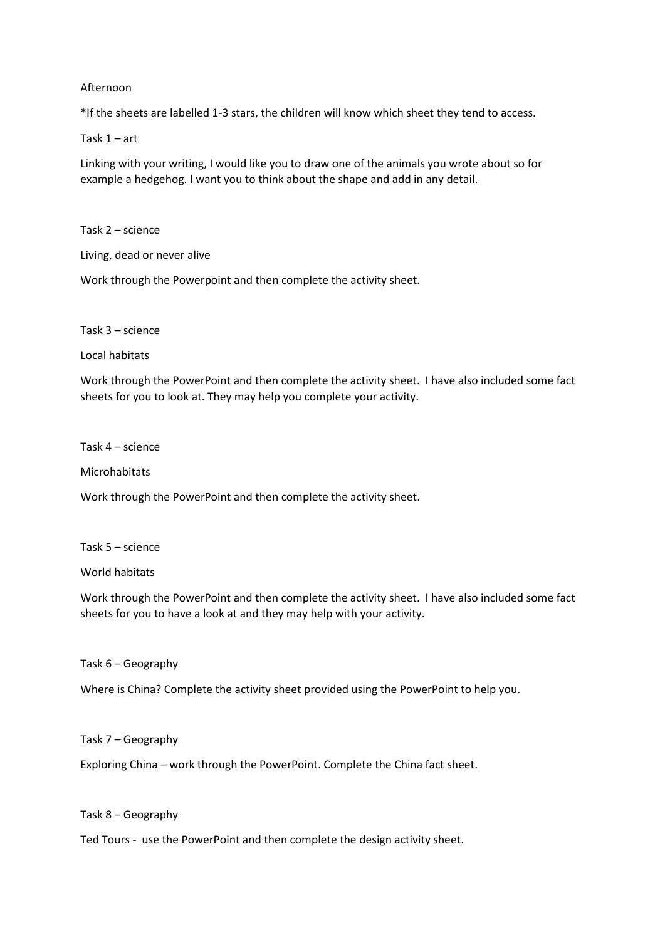## Afternoon

\*If the sheets are labelled 1-3 stars, the children will know which sheet they tend to access.

Task 1 – art

Linking with your writing, I would like you to draw one of the animals you wrote about so for example a hedgehog. I want you to think about the shape and add in any detail.

Task 2 – science

Living, dead or never alive

Work through the Powerpoint and then complete the activity sheet.

Task 3 – science

Local habitats

Work through the PowerPoint and then complete the activity sheet. I have also included some fact sheets for you to look at. They may help you complete your activity.

Task 4 – science

Microhabitats

Work through the PowerPoint and then complete the activity sheet.

Task 5 – science

World habitats

Work through the PowerPoint and then complete the activity sheet. I have also included some fact sheets for you to have a look at and they may help with your activity.

Task 6 – Geography

Where is China? Complete the activity sheet provided using the PowerPoint to help you.

Task 7 – Geography

Exploring China – work through the PowerPoint. Complete the China fact sheet.

Task 8 – Geography

Ted Tours - use the PowerPoint and then complete the design activity sheet.